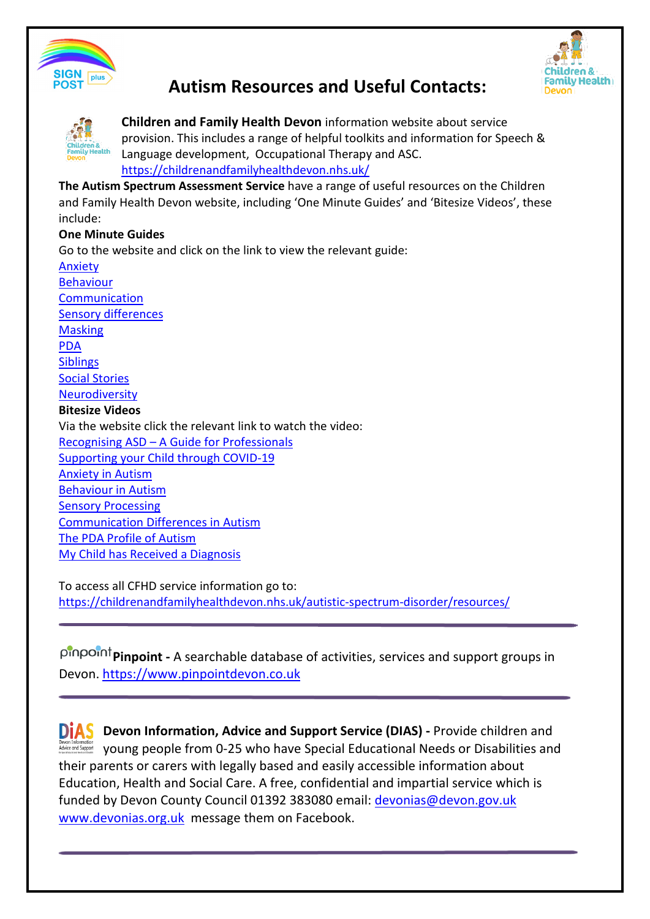

# **Autism Resources and Useful Contacts:**





**Children and Family Health Devon** information website about service provision. This includes a range of helpful toolkits and information for Speech & Language development, Occupational Therapy and ASC. <https://childrenandfamilyhealthdevon.nhs.uk/>

**The Autism Spectrum Assessment Service** have a range of useful resources on the Children and Family Health Devon website, including 'One Minute Guides' and 'Bitesize Videos', these include:

#### **One Minute Guides**

Go to the website and click on the link to view the relevant guide:

[Anxiety](https://childrenandfamilyhealthdevon.nhs.uk/wp-content/uploads/2020/04/1-minute-guide-anxiety.pdf) [Behaviour](https://childrenandfamilyhealthdevon.nhs.uk/wp-content/uploads/2020/04/1-minute-guide-behaviour.pdf) **[Communication](https://childrenandfamilyhealthdevon.nhs.uk/wp-content/uploads/2020/04/1-minute-guide-communication.pdf)** [Sensory differences](https://childrenandfamilyhealthdevon.nhs.uk/wp-content/uploads/2020/04/1-minute-guide-sensory.pdf) **[Masking](https://childrenandfamilyhealthdevon.nhs.uk/wp-content/uploads/2020/04/1-minute-guide-masking.pdf)** [PDA](https://childrenandfamilyhealthdevon.nhs.uk/wp-content/uploads/2020/04/1-minute-guide-pda.pdf) **[Siblings](https://childrenandfamilyhealthdevon.nhs.uk/wp-content/uploads/2020/04/1-minute-guide-siblings.pdf)** [Social Stories](https://childrenandfamilyhealthdevon.nhs.uk/wp-content/uploads/2020/06/social-stories-a-guide.pdf)  [Neurodiversity](https://childrenandfamilyhealthdevon.nhs.uk/wp-content/uploads/2020/04/1-minute-guide-neurodiversity.pdf) **Bitesize Videos** Via the website click the relevant link to watch the video: [Recognising ASD – A Guide for Professionals](https://vimeo.com/411044017/c4d6f9ac87) [Supporting your Child through COVID-19](https://vimeo.com/411044380/5f7d16693e) [Anxiety in Autism](https://vimeo.com/411044674/188829f759) [Behaviour in Autism](https://vimeo.com/411044950/3f7856e62f) **[Sensory Processing](https://vimeo.com/418506471/f3d34e4655)** [Communication Differences in Autism](https://vimeo.com/413482043/236e2e221f) [The PDA Profile of Autism](https://vimeo.com/429186733/bfbfe0b2d6)  [My Child has Received a Diagnosis](https://vimeo.com/tsdft/review/418515344/13f24d3f17)

To access all CFHD service information go to: <https://childrenandfamilyhealthdevon.nhs.uk/autistic-spectrum-disorder/resources/>

**Pinpoint -** A searchable database of activities, services and support groups in Devon. [https://www.pinpointdevon.co.uk](https://www.pinpointdevon.co.uk/) 

**DIAS** Devon Information, Advice and Support Service (DIAS) - Provide children and young people from 0-25 who have Special Educational Needs or Disabilities and their parents or carers with legally based and easily accessible information about Education, Health and Social Care. A free, confidential and impartial service which is funded by Devon County Council 01392 383080 email: [devonias@devon.gov.uk](mailto:devonias@devon.gov.uk) [www.devonias.org.uk](http://www.devonias.org.uk/) message them on Facebook.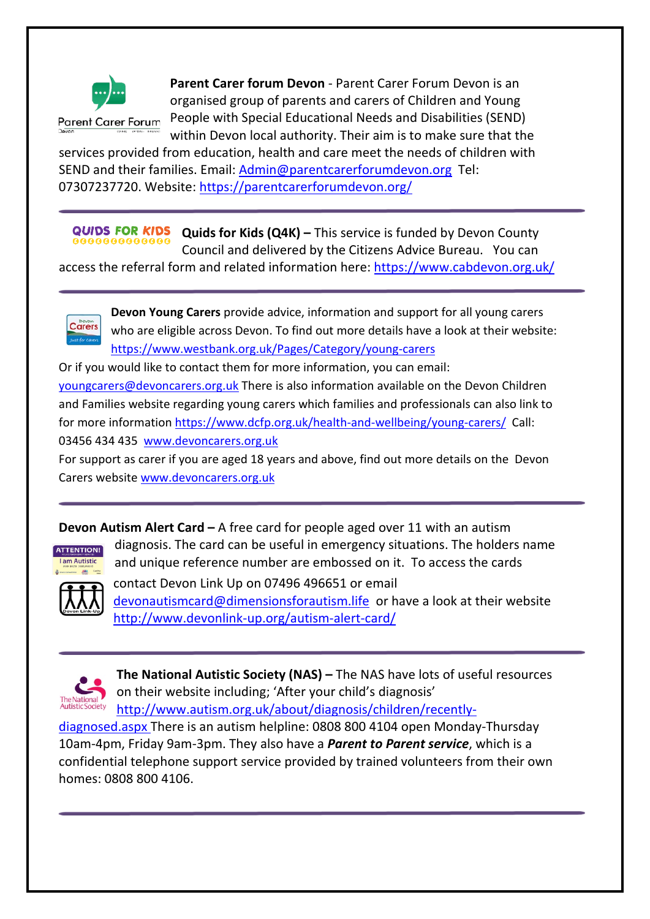

**Parent Carer Forum** 

**Parent Carer forum Devon** - Parent Carer Forum Devon is an organised group of parents and carers of Children and Young People with Special Educational Needs and Disabilities (SEND) within Devon local authority. Their aim is to make sure that the

services provided from education, health and care meet the needs of children with SEND and their families. Email: [Admin@parentcarerforumdevon.org](mailto:Admin@parentcarerforumdevon.org) Tel: 07307237720. Website:<https://parentcarerforumdevon.org/>

**QUIDS FOR KIDS Quids for Kids (Q4K) –** This service is funded by Devon County Council and delivered by the Citizens Advice Bureau. You can

access the referral form and related information here:<https://www.cabdevon.org.uk/>

**Devon Young Carers** provide advice, information and support for all young carers who are eligible across Devon. To find out more details have a look at their website: <https://www.westbank.org.uk/Pages/Category/young-carers>

Or if you would like to contact them for more information, you can email: [youngcarers@devoncarers.org.uk](mailto:youngcarers@devoncarers.org.uk) There is also information available on the Devon Children and Families website regarding young carers which families and professionals can also link to for more information<https://www.dcfp.org.uk/health-and-wellbeing/young-carers/>Call: 03456 434 435 www.devoncarers.org.uk

For support as carer if you are aged 18 years and above, find out more details on the Devon Carers websit[e www.devoncarers.org.uk](http://www.devoncarers.org.uk/)

**Devon Autism Alert Card –** A free card for people aged over 11 with an autism diagnosis. The card can be useful in emergency situations. The holders name

and unique reference number are embossed on it. To access the cards



Carers

contact Devon Link Up on 07496 496651 or email [devonautismcard@dimensionsforautism.life](mailto:devonautismcard@dimensionsforautism.life) or have a look at their website <http://www.devonlink-up.org/autism-alert-card/>



**The National Autistic Society (NAS) –** The NAS have lots of useful resources on their website including; 'After your child's diagnosis' [http://www.autism.org.uk/about/diagnosis/children/recently-](http://www.autism.org.uk/about/diagnosis/children/recently-diagnosed.aspx)

[diagnosed.aspx](http://www.autism.org.uk/about/diagnosis/children/recently-diagnosed.aspx) There is an autism helpline: 0808 800 4104 open Monday-Thursday 10am-4pm, Friday 9am-3pm. They also have a *Parent to Parent service*, which is a confidential telephone support service provided by trained volunteers from their own homes: 0808 800 4106.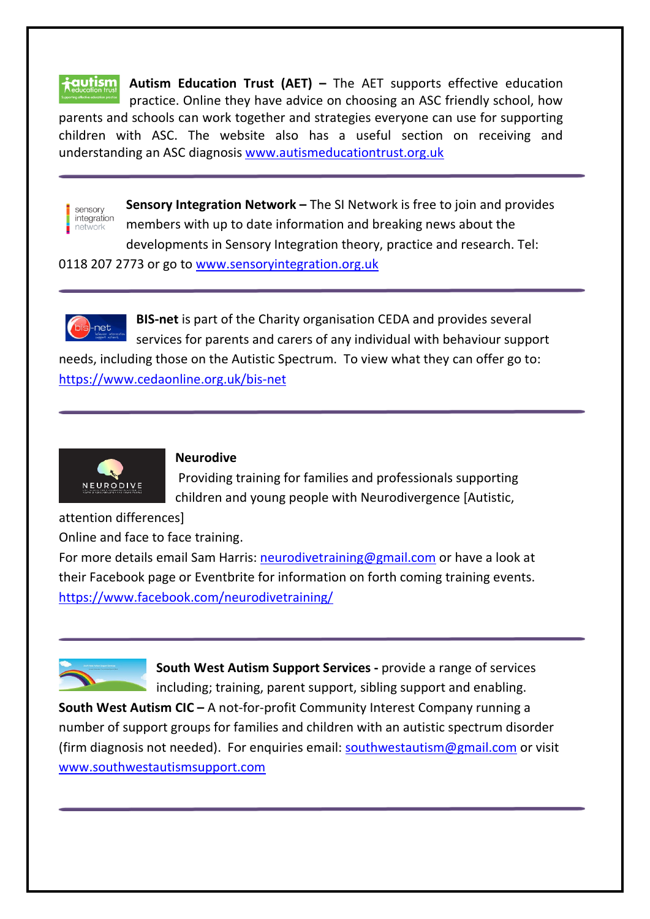**i**autism **Autism Education Trust (AET) –** The AET supports effective education practice. Online they have advice on choosing an ASC friendly school, how parents and schools can work together and strategies everyone can use for supporting children with ASC. The website also has a useful section on receiving and understanding an ASC diagnosis [www.autismeducationtrust.org.uk](http://www.autismeducationtrust.org.uk/) 



**Sensory Integration Network –** The SI Network is free to join and provides members with up to date information and breaking news about the developments in Sensory Integration theory, practice and research. Tel:

0118 207 2773 or go to [www.sensoryintegration.org.uk](http://www.sensoryintegration.org.uk/)



**BIS-net** is part of the Charity organisation CEDA and provides several services for parents and carers of any individual with behaviour support

needs, including those on the Autistic Spectrum. To view what they can offer go to: <https://www.cedaonline.org.uk/bis-net>



#### **Neurodive**

Providing training for families and professionals supporting children and young people with Neurodivergence [Autistic,

attention differences]

Online and face to face training.

For more details email Sam Harris: [neurodivetraining@gmail.com](mailto:neurodivetraining@gmail.com) or have a look at their Facebook page or Eventbrite for information on forth coming training events. <https://www.facebook.com/neurodivetraining/>



**South West Autism Support Services -** provide a range of services including; training, parent support, sibling support and enabling.

**South West Autism CIC –** A not-for-profit Community Interest Company running a number of support groups for families and children with an autistic spectrum disorder (firm diagnosis not needed). For enquiries email: [southwestautism@gmail.com](mailto:southwestautism@gmail.com) or visit [www.southwestautismsupport.com](http://www.southwestautismsupport.com/)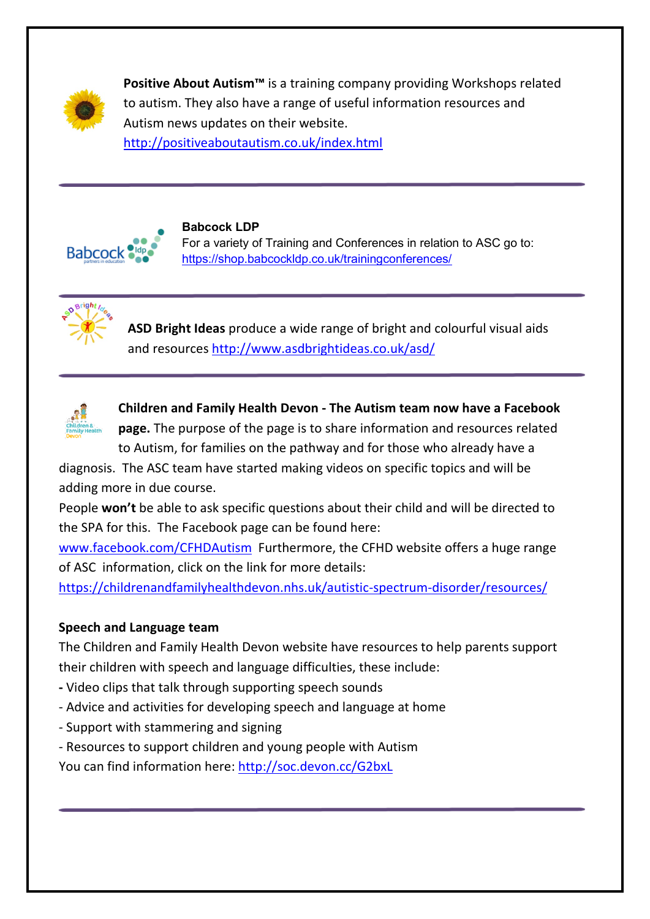

**Positive About Autism™** is a training company providing Workshops related to autism. They also have a range of useful information resources and Autism news updates on their website. <http://positiveaboutautism.co.uk/index.html>



# **Babcock LDP**

For a variety of Training and Conferences in relation to ASC go to: <https://shop.babcockldp.co.uk/trainingconferences/>



**ASD Bright Ideas** produce a wide range of bright and colourful visual aids and resources<http://www.asdbrightideas.co.uk/asd/>



**Children and Family Health Devon - The Autism team now have a Facebook page.** The purpose of the page is to share information and resources related to Autism, for families on the pathway and for those who already have a

diagnosis. The ASC team have started making videos on specific topics and will be adding more in due course.

People **won't** be able to ask specific questions about their child and will be directed to the SPA for this. The Facebook page can be found here:

[www.facebook.com/CFHDAutism](http://www.facebook.com/CFHDAutism) Furthermore, the CFHD website offers a huge range of ASC information, click on the link for more details:

<https://childrenandfamilyhealthdevon.nhs.uk/autistic-spectrum-disorder/resources/>

# **Speech and Language team**

The Children and Family Health Devon website have resources to help parents support their children with speech and language difficulties, these include:

- Video clips that talk through supporting speech sounds
- Advice and activities for developing speech and language at home
- Support with stammering and signing
- Resources to support children and young people with Autism

You can find information here:<http://soc.devon.cc/G2bxL>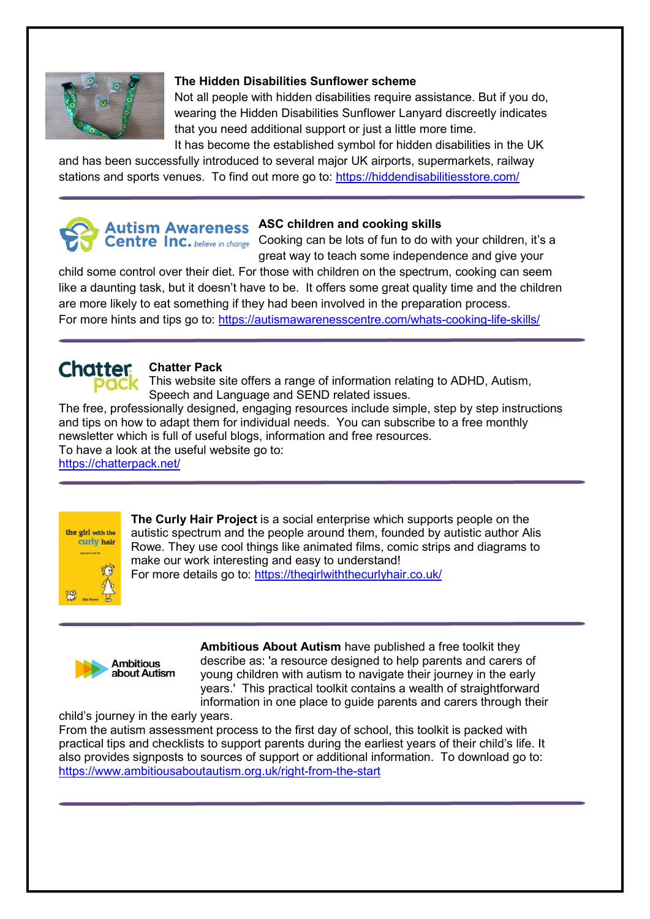

#### **The Hidden Disabilities Sunflower scheme**

Not all people with hidden disabilities require assistance. But if you do, wearing the Hidden Disabilities Sunflower Lanyard discreetly indicates that you need additional support or just a little more time.

It has become the established symbol for hidden disabilities in the UK and has been successfully introduced to several major UK airports, supermarkets, railway stations and sports venues. To find out more go to:<https://hiddendisabilitiesstore.com/>



Centre Inc. believe in change Cooking can be lots of fun to do with your children, it's a great way to teach some independence and give your

child some control over their diet. For those with children on the spectrum, cooking can seem like a daunting task, but it doesn't have to be. It offers some great quality time and the children are more likely to eat something if they had been involved in the preparation process. For more hints and tips go to: https://autismawarenesscentre.com/whats-cooking-life-skills/



#### **Chatter Pack**

 $\overline{PdC}$  This website site offers a range of information relating to ADHD, Autism, Speech and Language and SEND related issues.

The free, professionally designed, engaging resources include simple, step by step instructions and tips on how to adapt them for individual needs. You can subscribe to a free monthly newsletter which is full of useful blogs, information and free resources. To have a look at the useful website go to:

<https://chatterpack.net/>



**The Curly Hair Project** is a social enterprise which supports people on the autistic spectrum and the people around them, founded by autistic author Alis Rowe. They use cool things like animated films, comic strips and diagrams to make our work interesting and easy to understand! For more details go to:<https://thegirlwiththecurlyhair.co.uk/>



**Ambitious About Autism** have published a free toolkit they describe as: 'a resource designed to help parents and carers of young children with autism to navigate their journey in the early years.' This practical toolkit contains a wealth of straightforward information in one place to guide parents and carers through their

child's journey in the early years.

From the autism assessment process to the first day of school, this toolkit is packed with practical tips and checklists to support parents during the earliest years of their child's life. It also provides signposts to sources of support or additional information. To download go to: <https://www.ambitiousaboutautism.org.uk/right-from-the-start>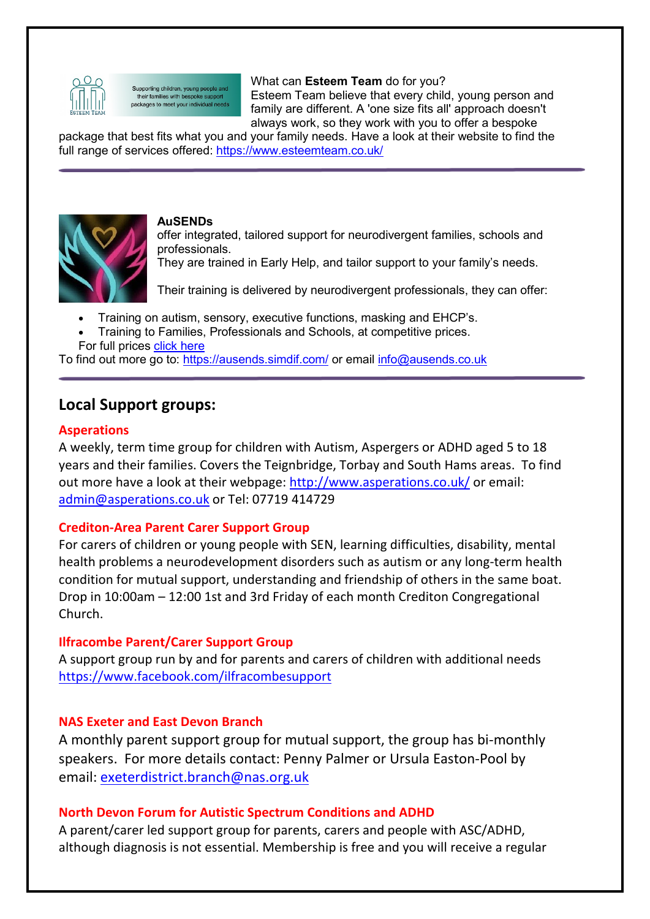

Supporting children, young people and their families with bespoke support packages to meet your individual needs What can **Esteem Team** do for you? Esteem Team believe that every child, young person and family are different. A 'one size fits all' approach doesn't always work, so they work with you to offer a bespoke

package that best fits what you and your family needs. Have a look at their website to find the full range of services offered:<https://www.esteemteam.co.uk/>



#### **AuSENDs**

offer integrated, tailored support for neurodivergent families, schools and professionals.

They are trained in Early Help, and tailor support to your family's needs.

Their training is delivered by neurodivergent professionals, they can offer:

- Training on autism, sensory, executive functions, masking and EHCP's.
- Training to Families, Professionals and Schools, at competitive prices. For full prices [click here](https://ausends.simdif.com/services-.html)

To find out more go to:<https://ausends.simdif.com/> or email info@ausends.co.uk

# **Local Support groups:**

#### **Asperations**

A weekly, term time group for children with Autism, Aspergers or ADHD aged 5 to 18 years and their families. Covers the Teignbridge, Torbay and South Hams areas. To find out more have a look at their webpage: [http://www.asperations.co.uk/](https://l.facebook.com/l.php?u=http%3A%2F%2Fwww.asperations.co.uk%2F%3Ffbclid%3DIwAR2Y07oB4xQPdHK-5J_KX1ZyG83yOpPsGW00v-68I3IuURqvz5jzzBGvUes&h=AT2bHhpLP3rUrriphNNjfRRcWvbWi18gaRSZqD13s5H_NhAa_pTfrPdVYkBsbtWdLDpe65turedSjOIRQ3T8Wbd53zKg4eBqBHXisUDOcwXNQ9i73XRQpkz3ndC2vJtRRQNLHQ) or email: [admin@asperations.co.uk](mailto:admin@asperations.co.uk) or Tel: 07719 414729

## **Crediton-Area Parent Carer Support Group**

For carers of children or young people with SEN, learning difficulties, disability, mental health problems a neurodevelopment disorders such as autism or any long-term health condition for mutual support, understanding and friendship of others in the same boat. Drop in 10:00am – 12:00 1st and 3rd Friday of each month Crediton Congregational Church.

## **Ilfracombe Parent/Carer Support Group**

A support group run by and for parents and carers of children with additional needs <https://www.facebook.com/ilfracombesupport>

## **NAS Exeter and East Devon Branch**

A monthly parent support group for mutual support, the group has bi-monthly speakers. For more details contact: Penny Palmer or Ursula Easton-Pool by email: [exeterdistrict.branch@nas.org.uk](mailto:exeterdistrict.branch@nas.org.uk)

## **North Devon Forum for Autistic Spectrum Conditions and ADHD**

A parent/carer led support group for parents, carers and people with ASC/ADHD, although diagnosis is not essential. Membership is free and you will receive a regular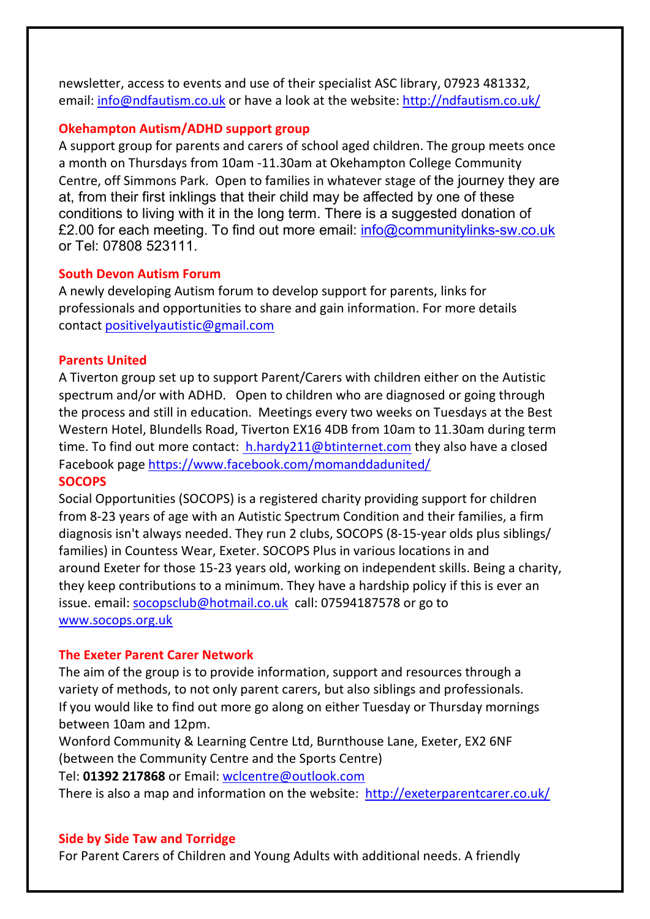newsletter, access to events and use of their specialist ASC library, 07923 481332, email: [info@ndfautism.co.uk](mailto:info@ndfautism.co.uk) or have a look at the website:<http://ndfautism.co.uk/>

#### **Okehampton Autism/ADHD support group**

A support group for parents and carers of school aged children. The group meets once a month on Thursdays from 10am -11.30am at Okehampton College Community Centre, off Simmons Park. Open to families in whatever stage of the journey they are at, from their first inklings that their child may be affected by one of these conditions to living with it in the long term. There is a suggested donation of £2.00 for each meeting. To find out more email: info@communitylinks-sw.co.uk or Tel: 07808 523111.

#### **South Devon Autism Forum**

A newly developing Autism forum to develop support for parents, links for professionals and opportunities to share and gain information. For more details contact [positivelyautistic@gmail.com](mailto:positivelyautistic@gmail.com)

## **Parents United**

A Tiverton group set up to support Parent/Carers with children either on the Autistic spectrum and/or with ADHD. Open to children who are diagnosed or going through the process and still in education. Meetings every two weeks on Tuesdays at the Best Western Hotel, Blundells Road, Tiverton EX16 4DB from 10am to 11.30am during term time. To find out more contact: h.hardy211@btinternet.com they also have a closed Facebook page<https://www.facebook.com/momanddadunited/>

#### **SOCOPS**

Social Opportunities (SOCOPS) is a registered charity providing support for children from 8-23 years of age with an Autistic Spectrum Condition and their families, a firm diagnosis isn't always needed. They run 2 clubs, SOCOPS (8-15-year olds plus siblings/ families) in Countess Wear, Exeter. SOCOPS Plus in various locations in and around Exeter for those 15-23 years old, working on independent skills. Being a charity, they keep contributions to a minimum. They have a hardship policy if this is ever an issue. email: [socopsclub@hotmail.co.uk](mailto:socopsclub@hotmail.co.uk) call: 07594187578 or go to [www.socops.org.uk](http://www.socops.org.uk/) 

## **The Exeter Parent Carer Network**

The aim of the group is to provide information, support and resources through a variety of methods, to not only parent carers, but also siblings and professionals. If you would like to find out more go along on either Tuesday or Thursday mornings between 10am and 12pm.

Wonford Community & Learning Centre Ltd, Burnthouse Lane, Exeter, EX2 6NF (between the Community Centre and the Sports Centre)

Tel: **01392 217868** or Email: [wclcentre@outlook.com](mailto:wclcentre@outlook.com) 

There is also a map and information on the website: <http://exeterparentcarer.co.uk/>

## **Side by Side Taw and Torridge**

For Parent Carers of Children and Young Adults with additional needs. A friendly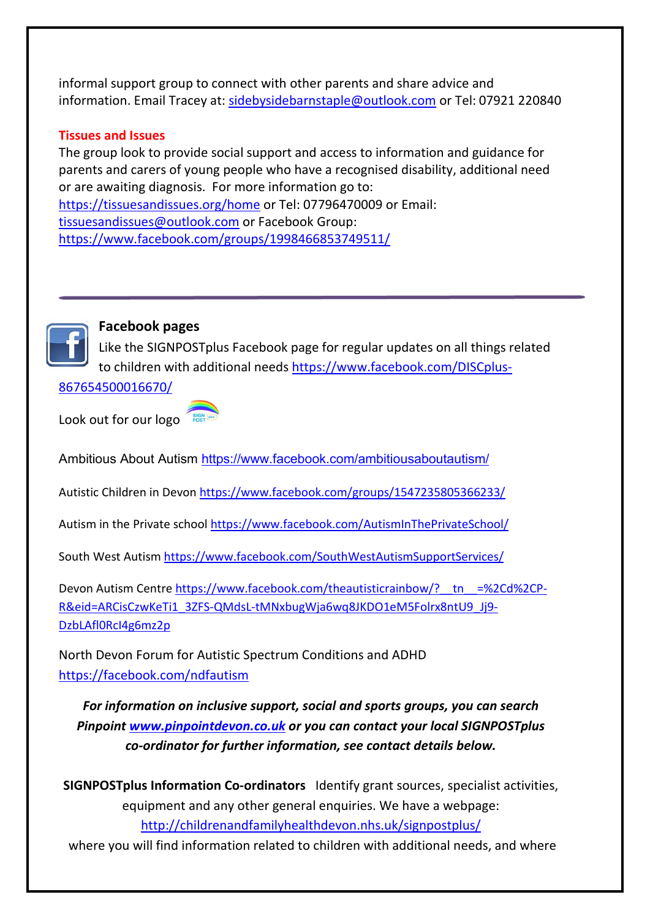informal support group to connect with other parents and share advice and information. Email Tracey at: [sidebysidebarnstaple@outlook.com](mailto:sidebysidebarnstaple@outlook.com) or Tel: 07921 220840

## **Tissues and Issues**

The group look to provide social support and access to information and guidance for parents and carers of young people who have a recognised disability, additional need or are awaiting diagnosis. For more information go to: <https://tissuesandissues.org/home>or Tel: 07796470009 or Email: [tissuesandissues@outlook.com](mailto:tissuesandissues@outlook.com) or Facebook Group: <https://www.facebook.com/groups/1998466853749511/>



## **Facebook pages**

Like the SIGNPOSTplus Facebook page for regular updates on all things related to children with additional needs [https://www.facebook.com/DISCplus-](https://www.facebook.com/DISCplus-867654500016670/)

[867654500016670/](https://www.facebook.com/DISCplus-867654500016670/) 

Look out for our logo

Ambitious About Autism<https://www.facebook.com/ambitiousaboutautism/>

Autistic Children in Devo[n https://www.facebook.com/groups/1547235805366233/](https://www.facebook.com/groups/1547235805366233/) 

Autism in the Private school<https://www.facebook.com/AutismInThePrivateSchool/>

South West Autism<https://www.facebook.com/SouthWestAutismSupportServices/>

Devon Autism Centre https://www.facebook.com/theautisticrainbow/? tn =%2Cd%2CP-[R&eid=ARCisCzwKeTi1\\_3ZFS-QMdsL-tMNxbugWja6wq8JKDO1eM5Folrx8ntU9\\_Jj9-](https://www.facebook.com/theautisticrainbow/?__tn__=%2Cd%2CP-R&eid=ARCisCzwKeTi1_3ZFS-QMdsL-tMNxbugWja6wq8JKDO1eM5Folrx8ntU9_Jj9-DzbLAfl0RcI4g6mz2p) [DzbLAfl0RcI4g6mz2p](https://www.facebook.com/theautisticrainbow/?__tn__=%2Cd%2CP-R&eid=ARCisCzwKeTi1_3ZFS-QMdsL-tMNxbugWja6wq8JKDO1eM5Folrx8ntU9_Jj9-DzbLAfl0RcI4g6mz2p)

North Devon Forum for Autistic Spectrum Conditions and ADHD <https://facebook.com/ndfautism>

*For information on inclusive support, social and sports groups, you can search Pinpoint [www.pinpointdevon.co.uk](http://www.pinpointdevon.co.uk/) or you can contact your local SIGNPOSTplus co-ordinator for further information, see contact details below.*

**SIGNPOSTplus Information Co-ordinators** Identify grant sources, specialist activities, equipment and any other general enquiries. We have a webpage: <http://childrenandfamilyhealthdevon.nhs.uk/signpostplus/>

where you will find information related to children with additional needs, and where